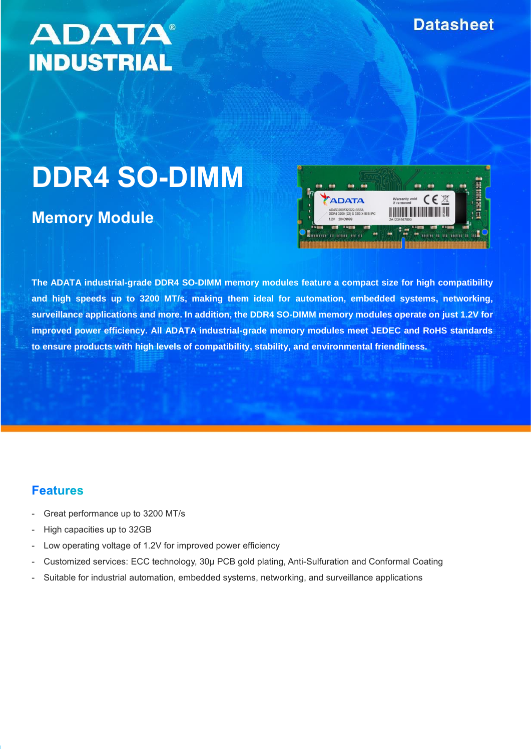# **ADATA® INDUSTRIAL**

# **DDR4 SO-DIMM**

## **Memory Module**



**The ADATA industrial-grade DDR4 SO-DIMM memory modules feature a compact size for high compatibility and high speeds up to 3200 MT/s, making them ideal for automation, embedded systems, networking, surveillance applications and more. In addition, the DDR4 SO-DIMM memory modules operate on just 1.2V for improved power efficiency. All ADATA industrial-grade memory modules meet JEDEC and RoHS standards to ensure products with high levels of compatibility, stability, and environmental friendliness.**

#### **Features**

- Great performance up to 3200 MT/s
- High capacities up to 32GB
- Low operating voltage of 1.2V for improved power efficiency
- Customized services: ECC technology, 30µ PCB gold plating, Anti-Sulfuration and Conformal Coating
- Suitable for industrial automation, embedded systems, networking, and surveillance applications